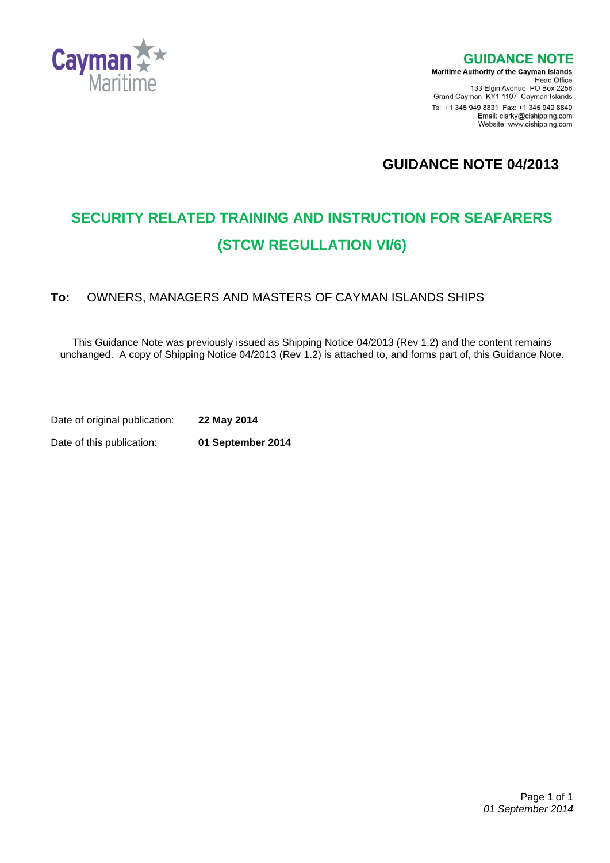

**GUIDANCE NOTE** 

**Maritime Authority of the Cayman Islands** Head Office<br>Head Office<br>133 Elgin Avenue PO Box 2256 Grand Cayman KY1-1107 Cayman Islands Tel: +1 345 949 8831 Fax: +1 345 949 8849 Email: cisrky@cishipping.com Website: www.cishipping.com

**GUIDANCE NOTE 04/2013**

# **SECURITY RELATED TRAINING AND INSTRUCTION FOR SEAFARERS (STCW REGULLATION VI/6)**

# **To:** OWNERS, MANAGERS AND MASTERS OF CAYMAN ISLANDS SHIPS

This Guidance Note was previously issued as Shipping Notice 04/2013 (Rev 1.2) and the content remains unchanged. A copy of Shipping Notice 04/2013 (Rev 1.2) is attached to, and forms part of, this Guidance Note.

Date of original publication: **22 May 2014** Date of this publication: **01 September 2014**

 Page 1 of 1 *01 September 2014*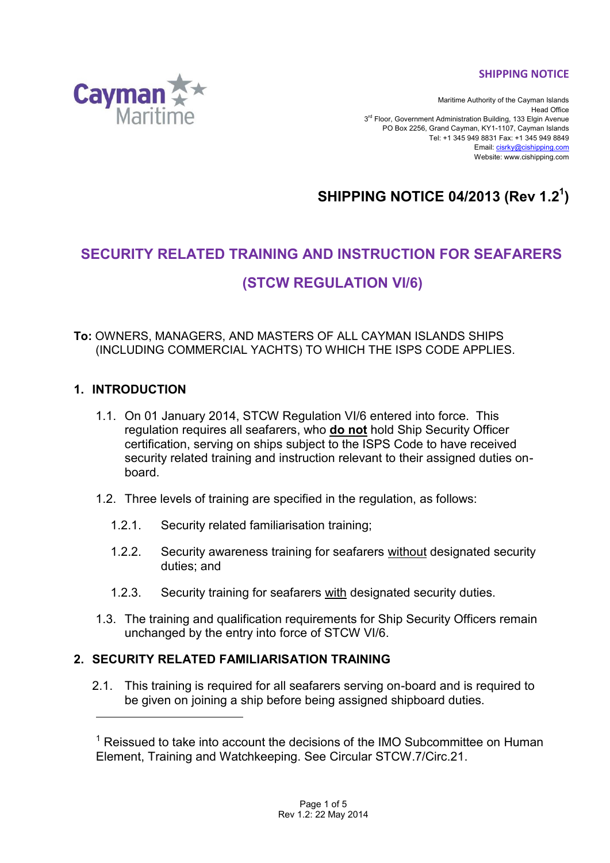**SHIPPING NOTICE**



Maritime Authority of the Cayman Islands Head Office 3<sup>rd</sup> Floor, Government Administration Building, 133 Elgin Avenue PO Box 2256, Grand Cayman, KY1-1107, Cayman Islands Tel: +1 345 949 8831 Fax: +1 345 949 8849 Email[: cisrky@cishipping.com](mailto:cisrky@cishipping.com) Website: www.cishipping.com

# **SHIPPING NOTICE 04/2013 (Rev 1.2 1 )**

# **SECURITY RELATED TRAINING AND INSTRUCTION FOR SEAFARERS**

# **(STCW REGULATION VI/6)**

## **To:** OWNERS, MANAGERS, AND MASTERS OF ALL CAYMAN ISLANDS SHIPS (INCLUDING COMMERCIAL YACHTS) TO WHICH THE ISPS CODE APPLIES.

# **1. INTRODUCTION**

l

- 1.1. On 01 January 2014, STCW Regulation VI/6 entered into force. This regulation requires all seafarers, who **do not** hold Ship Security Officer certification, serving on ships subject to the ISPS Code to have received security related training and instruction relevant to their assigned duties onboard.
- 1.2. Three levels of training are specified in the regulation, as follows:
	- 1.2.1. Security related familiarisation training;
	- 1.2.2. Security awareness training for seafarers without designated security duties; and
	- 1.2.3. Security training for seafarers with designated security duties.
- 1.3. The training and qualification requirements for Ship Security Officers remain unchanged by the entry into force of STCW VI/6.

# **2. SECURITY RELATED FAMILIARISATION TRAINING**

2.1. This training is required for all seafarers serving on-board and is required to be given on joining a ship before being assigned shipboard duties.

 $1$  Reissued to take into account the decisions of the IMO Subcommittee on Human Element, Training and Watchkeeping. See Circular STCW.7/Circ.21.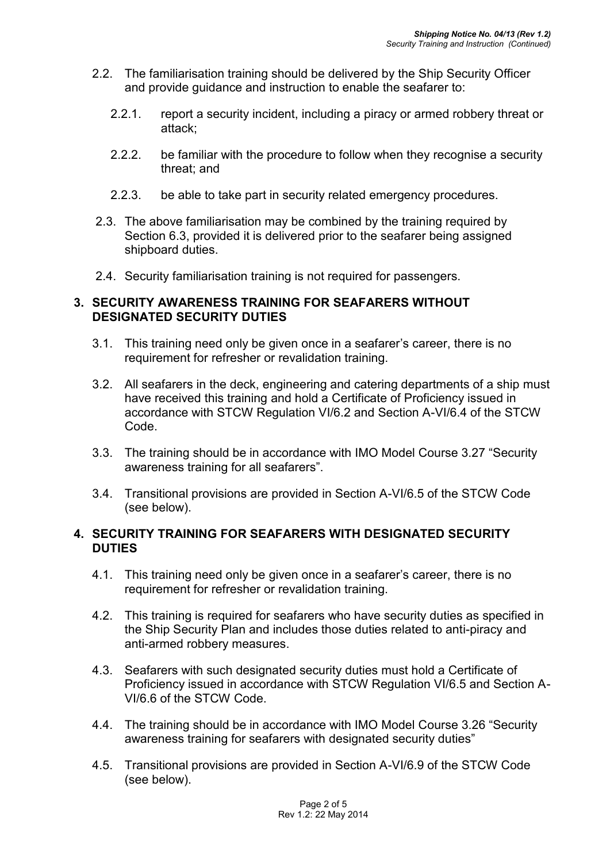- 2.2. The familiarisation training should be delivered by the Ship Security Officer and provide guidance and instruction to enable the seafarer to:
	- 2.2.1. report a security incident, including a piracy or armed robbery threat or attack;
	- 2.2.2. be familiar with the procedure to follow when they recognise a security threat; and
	- 2.2.3. be able to take part in security related emergency procedures.
- 2.3. The above familiarisation may be combined by the training required by Section 6.3, provided it is delivered prior to the seafarer being assigned shipboard duties.
- 2.4. Security familiarisation training is not required for passengers.

## **3. SECURITY AWARENESS TRAINING FOR SEAFARERS WITHOUT DESIGNATED SECURITY DUTIES**

- 3.1. This training need only be given once in a seafarer's career, there is no requirement for refresher or revalidation training.
- 3.2. All seafarers in the deck, engineering and catering departments of a ship must have received this training and hold a Certificate of Proficiency issued in accordance with STCW Regulation VI/6.2 and Section A-VI/6.4 of the STCW Code.
- 3.3. The training should be in accordance with IMO Model Course 3.27 "Security awareness training for all seafarers".
- 3.4. Transitional provisions are provided in Section A-VI/6.5 of the STCW Code (see below).

## **4. SECURITY TRAINING FOR SEAFARERS WITH DESIGNATED SECURITY DUTIES**

- 4.1. This training need only be given once in a seafarer's career, there is no requirement for refresher or revalidation training.
- 4.2. This training is required for seafarers who have security duties as specified in the Ship Security Plan and includes those duties related to anti-piracy and anti-armed robbery measures.
- 4.3. Seafarers with such designated security duties must hold a Certificate of Proficiency issued in accordance with STCW Regulation VI/6.5 and Section A-VI/6.6 of the STCW Code.
- 4.4. The training should be in accordance with IMO Model Course 3.26 "Security awareness training for seafarers with designated security duties"
- 4.5. Transitional provisions are provided in Section A-VI/6.9 of the STCW Code (see below).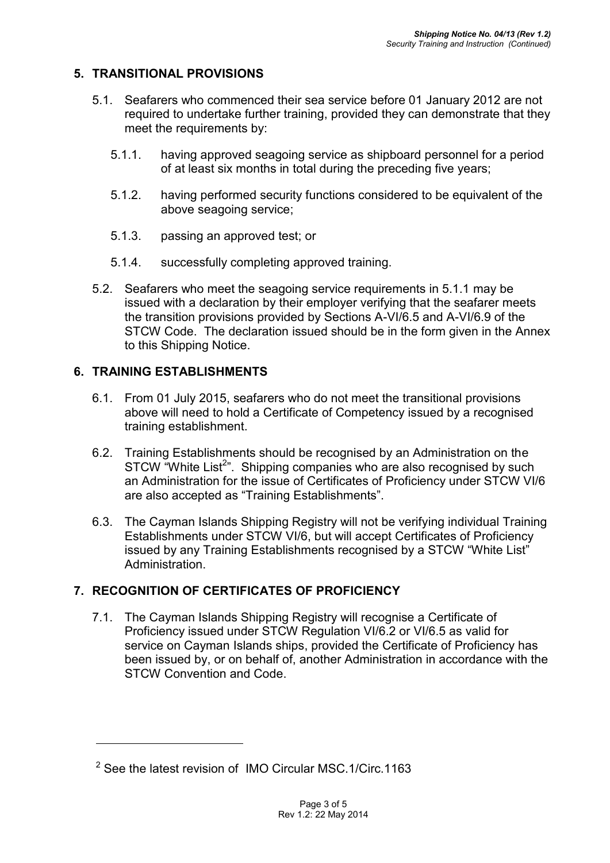# **5. TRANSITIONAL PROVISIONS**

- 5.1. Seafarers who commenced their sea service before 01 January 2012 are not required to undertake further training, provided they can demonstrate that they meet the requirements by:
	- 5.1.1. having approved seagoing service as shipboard personnel for a period of at least six months in total during the preceding five years;
	- 5.1.2. having performed security functions considered to be equivalent of the above seagoing service;
	- 5.1.3. passing an approved test; or
	- 5.1.4. successfully completing approved training.
- 5.2. Seafarers who meet the seagoing service requirements in 5.1.1 may be issued with a declaration by their employer verifying that the seafarer meets the transition provisions provided by Sections A-VI/6.5 and A-VI/6.9 of the STCW Code. The declaration issued should be in the form given in the Annex to this Shipping Notice.

# **6. TRAINING ESTABLISHMENTS**

l

- 6.1. From 01 July 2015, seafarers who do not meet the transitional provisions above will need to hold a Certificate of Competency issued by a recognised training establishment.
- 6.2. Training Establishments should be recognised by an Administration on the STCW "White List<sup>2</sup>". Shipping companies who are also recognised by such an Administration for the issue of Certificates of Proficiency under STCW VI/6 are also accepted as "Training Establishments".
- 6.3. The Cayman Islands Shipping Registry will not be verifying individual Training Establishments under STCW VI/6, but will accept Certificates of Proficiency issued by any Training Establishments recognised by a STCW "White List" **Administration**

# **7. RECOGNITION OF CERTIFICATES OF PROFICIENCY**

7.1. The Cayman Islands Shipping Registry will recognise a Certificate of Proficiency issued under STCW Regulation VI/6.2 or VI/6.5 as valid for service on Cayman Islands ships, provided the Certificate of Proficiency has been issued by, or on behalf of, another Administration in accordance with the STCW Convention and Code.

<sup>&</sup>lt;sup>2</sup> See the latest revision of IMO Circular MSC.1/Circ.1163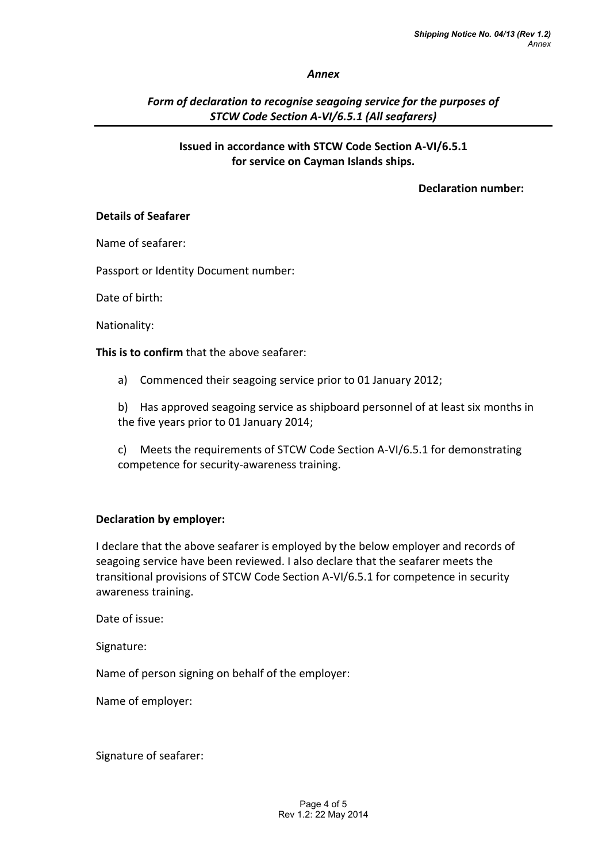#### *Annex*

## *Form of declaration to recognise seagoing service for the purposes of STCW Code Section A-VI/6.5.1 (All seafarers)*

### **Issued in accordance with STCW Code Section A-VI/6.5.1 for service on Cayman Islands ships.**

## **Declaration number:**

#### **Details of Seafarer**

Name of seafarer:

Passport or Identity Document number:

Date of birth:

Nationality:

**This is to confirm** that the above seafarer:

a) Commenced their seagoing service prior to 01 January 2012;

b) Has approved seagoing service as shipboard personnel of at least six months in the five years prior to 01 January 2014;

c) Meets the requirements of STCW Code Section A-VI/6.5.1 for demonstrating competence for security-awareness training.

## **Declaration by employer:**

I declare that the above seafarer is employed by the below employer and records of seagoing service have been reviewed. I also declare that the seafarer meets the transitional provisions of STCW Code Section A-VI/6.5.1 for competence in security awareness training.

Date of issue:

Signature:

Name of person signing on behalf of the employer:

Name of employer:

Signature of seafarer: